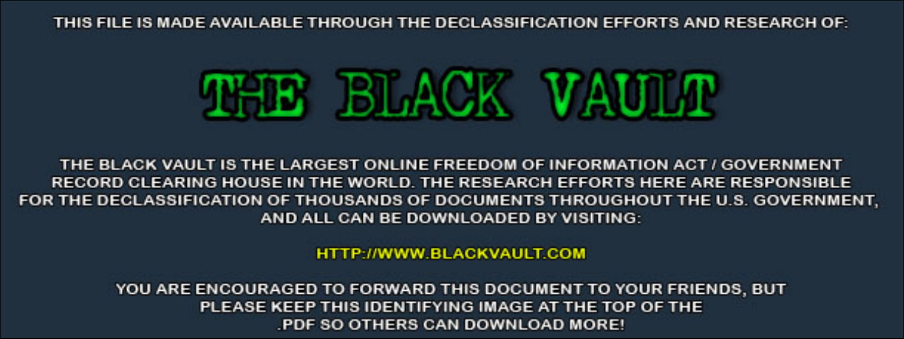THIS FILE IS MADE AVAILABLE THROUGH THE DECLASSIFICATION EFFORTS AND RESEARCH OF:



THE BLACK VAULT IS THE LARGEST ONLINE FREEDOM OF INFORMATION ACT / GOVERNMENT RECORD CLEARING HOUSE IN THE WORLD. THE RESEARCH EFFORTS HERE ARE RESPONSIBLE FOR THE DECLASSIFICATION OF THOUSANDS OF DOCUMENTS THROUGHOUT THE U.S. GOVERNMENT, AND ALL CAN BE DOWNLOADED BY VISITING:

**HTTP://WWW.BLACKVAULT.COM** 

YOU ARE ENCOURAGED TO FORWARD THIS DOCUMENT TO YOUR FRIENDS, BUT PLEASE KEEP THIS IDENTIFYING IMAGE AT THE TOP OF THE PDF SO OTHERS CAN DOWNLOAD MORE!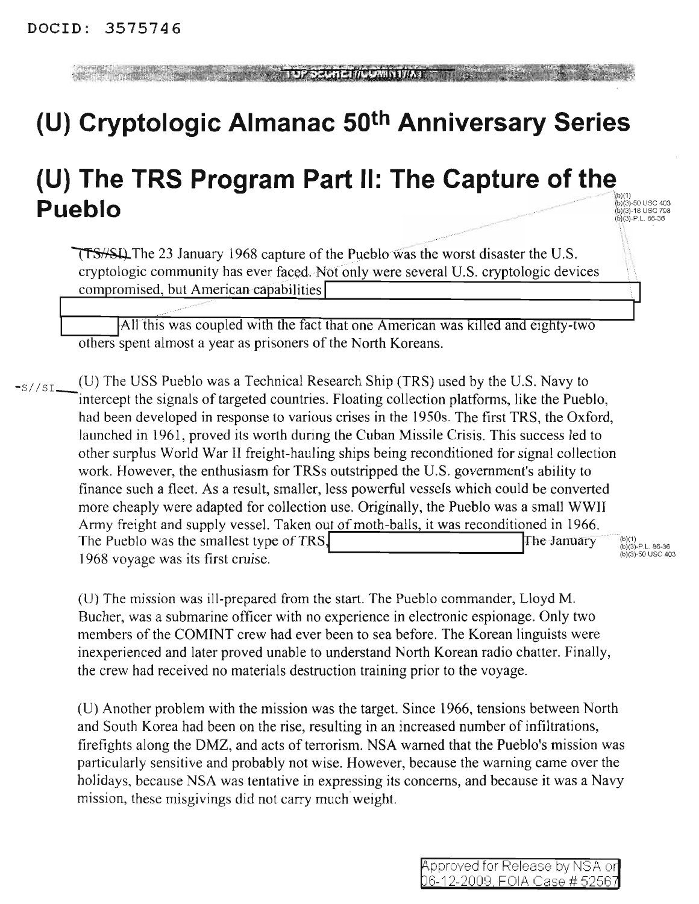**TUP SCUTE ITOURNITIAL** 

## **(U) Cryptologic Almanac 50th Anniversary Series**

## (U) The TRS Program Part II: The Capture of the **Pueblo**

(b)(1)<br>(b)(3)-50 USC 403<br>(b)(3)-18 USC 798<br>(b)(3)-P.L. 86-36

**TTS/SIL** The 23 January 1968 capture of the Pueblo was the worst disaster the U.S. cryptologic community has ever faced. Not only were several U.S. cryptologic devices compromised, but American capabilities

All this was coupled with the fact that one American was killed and eighty-two others spent almost a year as prisoners of the North Koreans.

 $\frac{-S}{S}$  (U) The USS Pueblo was a Technical Research Ship (TRS) used by the U.S. Navy to intercept the signals of targeted countries. Floating collection platforms, like the Pueblo, had been developed in response to various crises in the 1950s. The first TRS, the Oxford, launched in 1961, proved its worth during the Cuban Missile Crisis. This success led to other surplus World War II freight-hauling ships being reconditioned for signal collection work. However, the enthusiasm for TRSs outstripped the U.S. government's ability to finance such a fleet. As a result, smaller, less powerful vessels which could be converted more cheaply were adapted for collection use. Originally, the Pueblo was a small WWII Army freight and supply vessel. Taken out of moth-balls, it was reconditioned in 1966. The Pueblo was the smallest type of TRS $\begin{bmatrix} 6 \times 10^{-11} & 6 \times 10^{-11} & 6 \times 10^{-11} & 6 \times 10^{-11} & 6 \times 10^{-11} & 6 \times 10^{-11} & 6 \times 10^{-11} & 6 \times 10^{-11} & 6 \times 10^{-11} & 6 \times 10^{-11} & 6 \times 10^{-11} & 6 \times 10^{-11} & 6 \times 10^{-11} & 6 \times 10^{-11} & 6 \times 10$ 1968 voyage was its first cruise.

(U) The mission was ill-prepared from the start. The Pueblo commander, Lloyd M. Bucher, was a submarine officer with no experience in electronic espionage. Only two members of the COMINT crew had ever been to sea before. The Korean linguists were inexperienced and later proved unable to understand North Korean radio chatter. Finally, the crew had received no materials destruction training prior to the voyage.

(U) Another problem with the mission was the target. Since 1966, tensions between North and South Korea had been on the rise, resulting in an increased number of infiltrations, firefights along the DMZ, and acts of terrorism. NSA warned that the Pueblo's mission was particularly sensitive and probably not wise. However, because the warning came over the holidays, because NSA was tentative in expressing its concerns, and because it was a Navy mission, these misgivings did not carry much weight.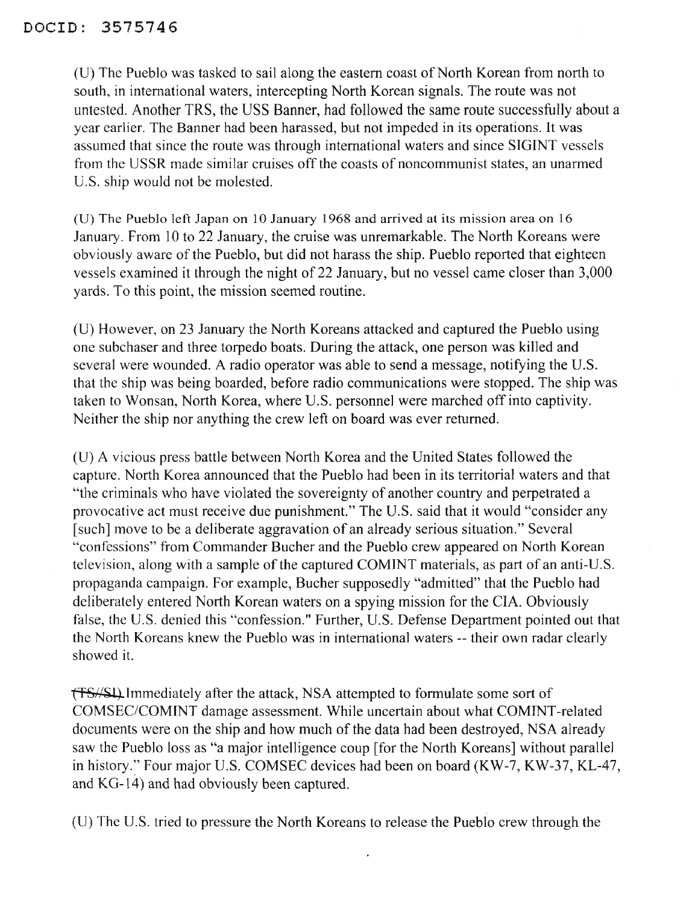(U) The Pueblo was tasked to sail along the eastern coast of North Korean from north to south, in international waters, intercepting North Korean signals. The route was not untested. Another IRS, the USS Banner, had followed the same route successfully about a year earlier. The Banner had been harassed, but not impeded in its operations. It was assumed that since the route was through international waters and since SIGINT vessels from the USSR made similar cruises off the coasts of noncommunist states, an unarmed U.S. ship would not be molested.

(D) The Pueblo left Japan on 10 January 1968 and arrived at its mission area on 16 January. From 10 to 22 January, the cruise was unremarkable. The North Koreans were obviously aware of the Pueblo, but did not harass the ship. Pueblo reported that eighteen vessels examined it through the night of 22 January, but no vessel came closer than 3,000 yards. To this point, the mission seemed routine.

(U) However, on 23 January the North Koreans attacked and captured the Pueblo using one subchaser and three torpedo boats. During the attack, one person was killed and several were wounded. A radio operator was able to send a message, notifying the U.S. that the ship was being boarded, before radio communications were stopped. The ship was taken to Wonsan, North Korea, where U.S. personnel were marched off into captivity. Neither the ship nor anything the crew left on board was ever returned.

(U) A vicious press battle between North Korea and the United States followed the capture. North Korea announced that the Pueblo had been in its territorial waters and that "the criminals who have violated the sovereignty of another country and perpetrated a provocative act must receive due punishment." The U.S. said that it would "consider any [such] move to be a deliberate aggravation of an already serious situation." Several "confessions" from Commander Bucher and the Pueblo crew appeared on North Korean television, along with a sample of the captured COMINT materials, as part of an anti-U.S. propaganda campaign. For example, Bucher supposedly "admitted" that the Pueblo had deliberately entered North Korean waters on a spying mission for the CIA. Obviously false, the U.S. denied this "confession." Further, U.S. Defense Department pointed out that the North Koreans knew the Pueblo was in international waters -- their own radar clearly showed it.

**ffS**//SI). Immediately after the attack, NSA attempted to formulate some sort of COMSEC/COMINT damage assessment. While uncertain about what COMINT-related documents were on the ship and how much of the data had been destroyed, NSA already saw the Pueblo loss as "a major intelligence coup [for the North Koreans] without parallel in history.:' Four major U.S. COMSEC devices had been on board (KW-7, KW-37, KL-47, and KG-14) and had obviously been captured.

(U) The U.S. tried to pressure the North Koreans to release the Pueblo crew through the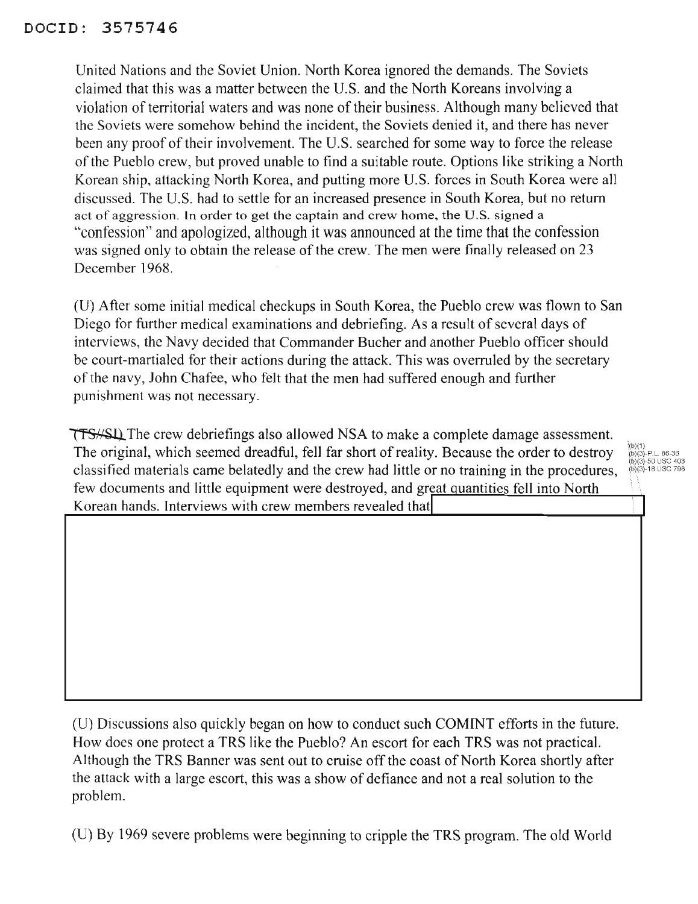## DOCID: 3575746

United Nations and the Soviet Union. North Korea ignored the demands. The Soviets claimed that this was a matter between the U.S. and the North Koreans involving a violation of territorial waters and was none of their business. Although many believed that the Soviets were somehow behind the incident, the Soviets denied it, and there has never been any proof of their involvement. The U.S. searched for some way to force the release ofthe Pueblo crew, but proved unable to find a suitable route. Options like striking a North Korean ship, attacking North Korea, and putting more U.S. forces in South Korea were all discussed. The U.S. had to settle for an increased presence in South Korea, but no return act of aggression. In order to get the captain and crew home, the U.S. signed a "confession" and apologized, although it was announced at the time that the confession was signed only to obtain the release of the crew. The men were finally released on 23 December 1968.

(U) After some initial medical checkups in South Korea, the Pueblo crew was flown to San Diego for further medical examinations and debriefing. As a result of several days of interviews, the Navy decided that Commander Bucher and another Pueblo officer should be court-martialed for their actions during the attack. This was overruled by the secretary of the navy, John Chafee, who felt that the men had suffered enough and further punishment was not necessary.

**THE CREW THE CREW THE CREW CONTROLLY ASSESS** allowed NSA to make a complete damage assessment. The original, which seemed dreadful, fell far short of reality. Because the order to destroy classified materials came belatedly and the crew had little or no training in the procedures, few documents and little equipment were destroyed, and great quantities fell into North Korean hands. Interviews with crew members revealed that

;<br>(b)(3)-P.L. 86-36 b)(3)-50 USC 403<br>b)(3)-18 USC 798

I

(U) Discussions also quickly began on how to conduct such COMINT efforts in the future. How does one protect a TRS like the Pueblo? An escort for each TRS was not practical. Although the TRS Banner was sent out to cruise off the coast of North Korea shortly after the attack with a large escort, this was a show of defiance and not a real solution to the problem.

(U) By 1969 severe problems were beginning to cripple the TRS program. The old World